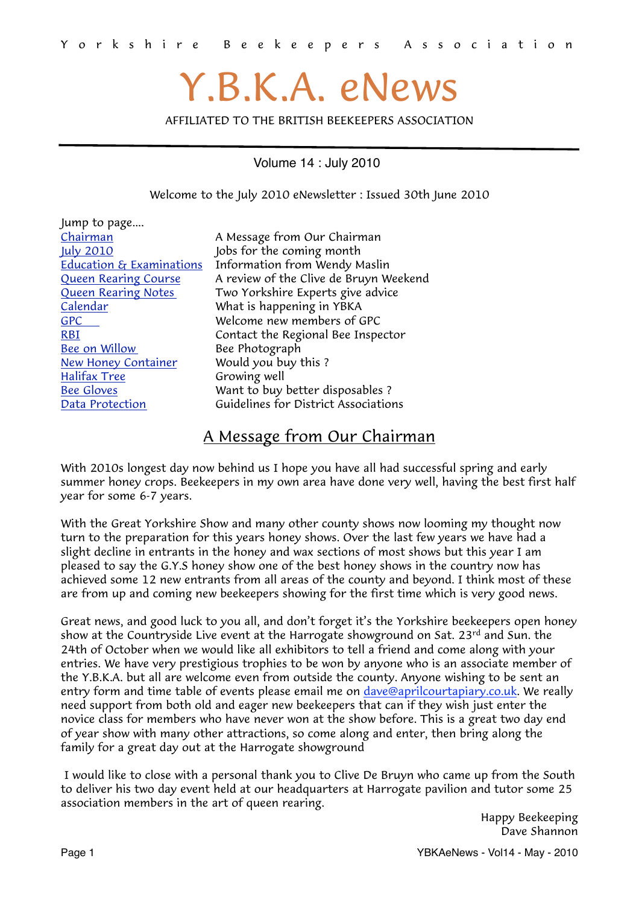# Y.B.K.A. eNews

AFFILIATED TO THE BRITISH BEEKEEPERS ASSOCIATION

Volume 14 : July 2010

<span id="page-0-1"></span>Welcome to the July 2010 eNewsletter : Issued 30th June 2010

| Jump to page                        |                                        |
|-------------------------------------|----------------------------------------|
| Chairman                            | A Message from Our Chairman            |
| July 2010                           | Jobs for the coming month              |
| <b>Education &amp; Examinations</b> | Information from Wendy Maslin          |
| <b>Queen Rearing Course</b>         | A review of the Clive de Bruyn Weekend |
| <b>Queen Rearing Notes</b>          | Two Yorkshire Experts give advice      |
| Calendar                            | What is happening in YBKA              |
| <b>GPC</b>                          | Welcome new members of GPC             |
| <b>RBI</b>                          | Contact the Regional Bee Inspector     |
| Bee on Willow                       | Bee Photograph                         |
| <b>New Honey Container</b>          | Would you buy this?                    |
| <b>Halifax Tree</b>                 | Growing well                           |
| <b>Bee Gloves</b>                   | Want to buy better disposables?        |
| Data Protection                     | Guidelines for District Associations   |
|                                     |                                        |

## <span id="page-0-0"></span>A Message from Our Chairman

With 2010s longest day now behind us I hope you have all had successful spring and early summer honey crops. Beekeepers in my own area have done very well, having the best first half year for some 6-7 years.

With the Great Yorkshire Show and many other county shows now looming my thought now turn to the preparation for this years honey shows. Over the last few years we have had a slight decline in entrants in the honey and wax sections of most shows but this year I am pleased to say the G.Y.S honey show one of the best honey shows in the country now has achieved some 12 new entrants from all areas of the county and beyond. I think most of these are from up and coming new beekeepers showing for the first time which is very good news.

Great news, and good luck to you all, and don't forget it's the Yorkshire beekeepers open honey show at the Countryside Live event at the Harrogate showground on Sat. 23<sup>rd</sup> and Sun. the 24th of October when we would like all exhibitors to tell a friend and come along with your entries. We have very prestigious trophies to be won by anyone who is an associate member of the Y.B.K.A. but all are welcome even from outside the county. Anyone wishing to be sent an entry form and time table of events please email me on [dave@aprilcourtapiary.co.uk](mailto:dave@aprilcourtapiary.co.uk). We really need support from both old and eager new beekeepers that can if they wish just enter the novice class for members who have never won at the show before. This is a great two day end of year show with many other attractions, so come along and enter, then bring along the family for a great day out at the Harrogate showground

 I would like to close with a personal thank you to Clive De Bruyn who came up from the South to deliver his two day event held at our headquarters at Harrogate pavilion and tutor some 25 association members in the art of queen rearing.

> Happy Beekeeping Dave Shannon

Page 1 **Page 1** All 2010 **Page 1** All 2010 **Page 1** All 2010 **Page 1** All 2010 **Page 1** All 2010 **Page 1**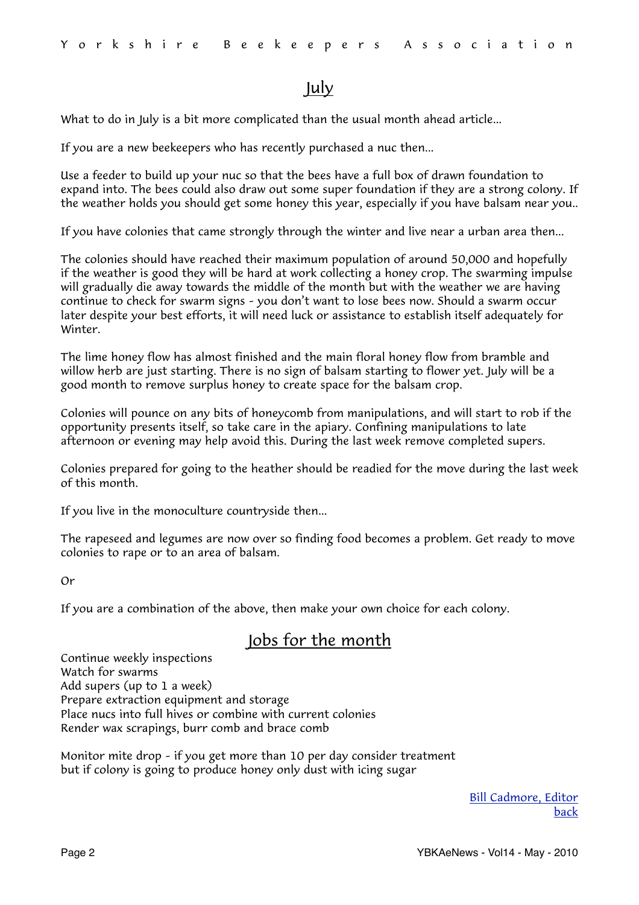## <span id="page-1-0"></span>July

What to do in July is a bit more complicated than the usual month ahead article...

If you are a new beekeepers who has recently purchased a nuc then...

Use a feeder to build up your nuc so that the bees have a full box of drawn foundation to expand into. The bees could also draw out some super foundation if they are a strong colony. If the weather holds you should get some honey this year, especially if you have balsam near you..

If you have colonies that came strongly through the winter and live near a urban area then...

The colonies should have reached their maximum population of around 50,000 and hopefully if the weather is good they will be hard at work collecting a honey crop. The swarming impulse will gradually die away towards the middle of the month but with the weather we are having continue to check for swarm signs – you don't want to lose bees now. Should a swarm occur later despite your best efforts, it will need luck or assistance to establish itself adequately for Winter.

The lime honey flow has almost finished and the main floral honey flow from bramble and willow herb are just starting. There is no sign of balsam starting to flower yet. July will be a good month to remove surplus honey to create space for the balsam crop.

Colonies will pounce on any bits of honeycomb from manipulations, and will start to rob if the opportunity presents itself, so take care in the apiary. Confining manipulations to late afternoon or evening may help avoid this. During the last week remove completed supers.

Colonies prepared for going to the heather should be readied for the move during the last week of this month.

If you live in the monoculture countryside then...

The rapeseed and legumes are now over so finding food becomes a problem. Get ready to move colonies to rape or to an area of balsam.

Or

If you are a combination of the above, then make your own choice for each colony.

## Jobs for the month

Continue weekly inspections Watch for swarms Add supers (up to 1 a week) Prepare extraction equipment and storage Place nucs into full hives or combine with current colonies Render wax scrapings, burr comb and brace comb

Monitor mite drop – if you get more than 10 per day consider treatment but if colony is going to produce honey only dust with icing sugar

> [Bill Cadmore, Editor](mailto:ybkanews@ntlworld.com?subject=eNewsletter) [back](#page-0-1)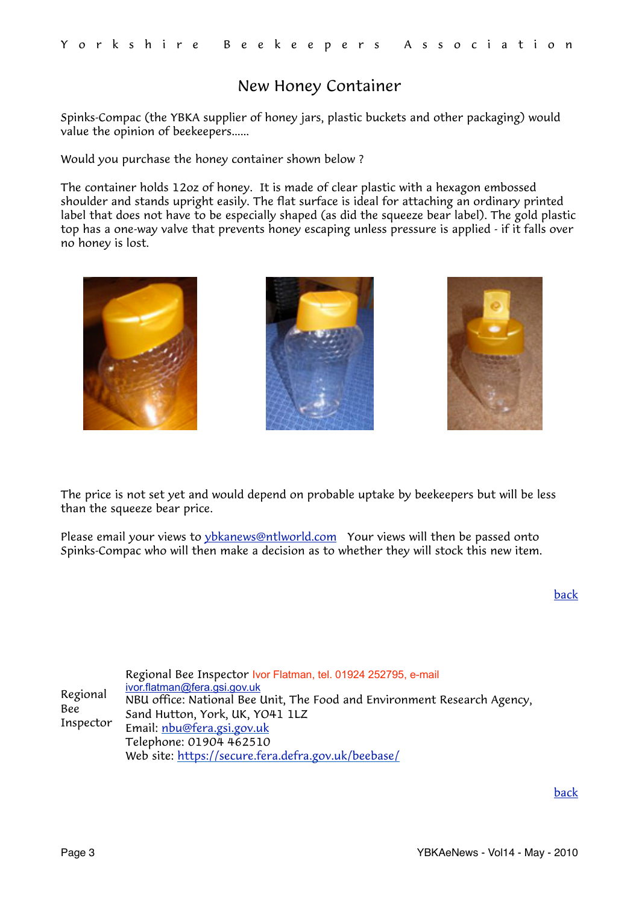## <span id="page-2-1"></span>New Honey Container

Spinks-Compac (the YBKA supplier of honey jars, plastic buckets and other packaging) would value the opinion of beekeepers......

Would you purchase the honey container shown below ?

The container holds 12oz of honey. It is made of clear plastic with a hexagon embossed shoulder and stands upright easily. The flat surface is ideal for attaching an ordinary printed label that does not have to be especially shaped (as did the squeeze bear label). The gold plastic top has a one-way valve that prevents honey escaping unless pressure is applied - if it falls over no honey is lost.







The price is not set yet and would depend on probable uptake by beekeepers but will be less than the squeeze bear price.

Please email your views to [ybkanews@ntlworld.com](mailto:ybkanews@ntlworld.com) Your views will then be passed onto Spinks-Compac who will then make a decision as to whether they will stock this new item.

[back](#page-0-1)

<span id="page-2-0"></span>

|                 | Regional Bee Inspector Ivor Flatman, tel. 01924 252795, e-mail           |
|-----------------|--------------------------------------------------------------------------|
| Regional<br>Bee | ivor.flatman@fera.gsi.gov.uk                                             |
|                 | NBU office: National Bee Unit, The Food and Environment Research Agency, |
|                 | Sand Hutton, York, UK, YO41 1LZ                                          |
| Inspector       | Email: nbu@fera.gsi.gov.uk                                               |
|                 | Telephone: 01904 462510                                                  |
|                 | Web site: https://secure.fera.defra.gov.uk/beebase/                      |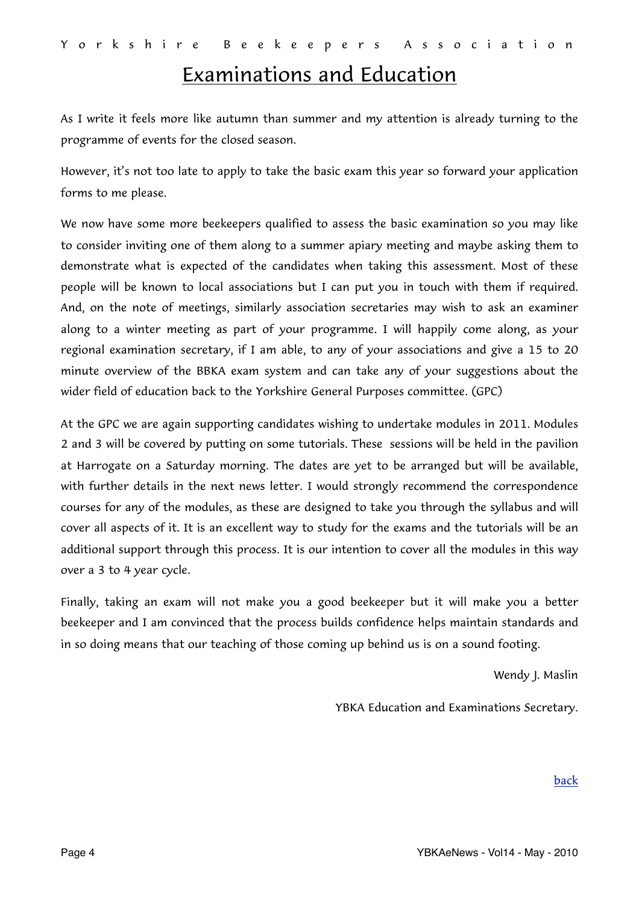## <span id="page-3-0"></span>Examinations and Education

As I write it feels more like autumn than summer and my attention is already turning to the programme of events for the closed season.

However, it's not too late to apply to take the basic exam this year so forward your application forms to me please.

We now have some more beekeepers qualified to assess the basic examination so you may like to consider inviting one of them along to a summer apiary meeting and maybe asking them to demonstrate what is expected of the candidates when taking this assessment. Most of these people will be known to local associations but I can put you in touch with them if required. And, on the note of meetings, similarly association secretaries may wish to ask an examiner along to a winter meeting as part of your programme. I will happily come along, as your regional examination secretary, if I am able, to any of your associations and give a 15 to 20 minute overview of the BBKA exam system and can take any of your suggestions about the wider field of education back to the Yorkshire General Purposes committee. (GPC)

At the GPC we are again supporting candidates wishing to undertake modules in 2011. Modules 2 and 3 will be covered by putting on some tutorials. These sessions will be held in the pavilion at Harrogate on a Saturday morning. The dates are yet to be arranged but will be available, with further details in the next news letter. I would strongly recommend the correspondence courses for any of the modules, as these are designed to take you through the syllabus and will cover all aspects of it. It is an excellent way to study for the exams and the tutorials will be an additional support through this process. It is our intention to cover all the modules in this way over a 3 to 4 year cycle.

Finally, taking an exam will not make you a good beekeeper but it will make you a better beekeeper and I am convinced that the process builds confidence helps maintain standards and in so doing means that our teaching of those coming up behind us is on a sound footing.

Wendy J. Maslin

YBKA Education and Examinations Secretary.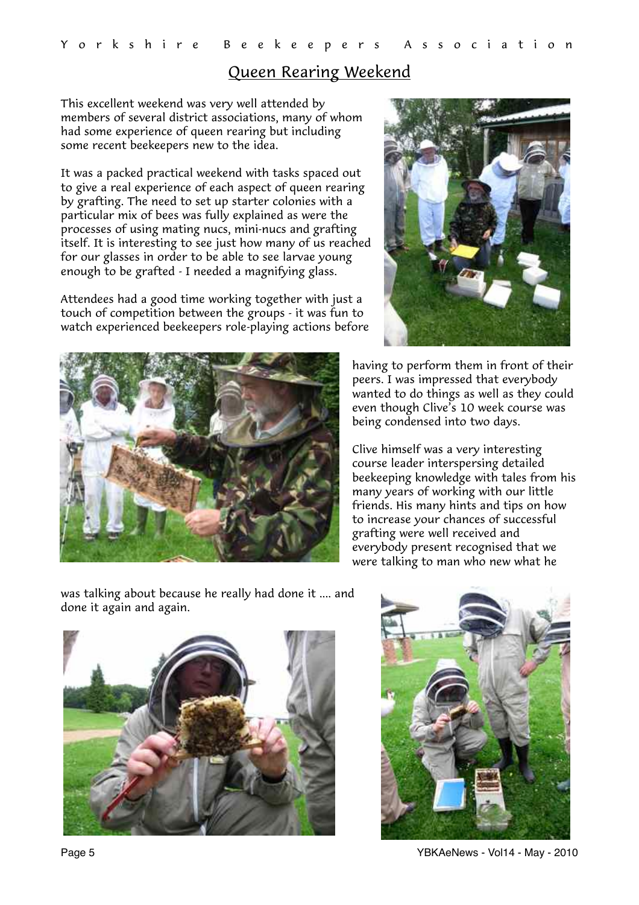### <span id="page-4-0"></span>Queen Rearing Weekend

This excellent weekend was very well attended by members of several district associations, many of whom had some experience of queen rearing but including some recent beekeepers new to the idea.

It was a packed practical weekend with tasks spaced out to give a real experience of each aspect of queen rearing by grafting. The need to set up starter colonies with a particular mix of bees was fully explained as were the processes of using mating nucs, mini-nucs and grafting itself. It is interesting to see just how many of us reached for our glasses in order to be able to see larvae young enough to be grafted - I needed a magnifying glass.

Attendees had a good time working together with just a touch of competition between the groups - it was fun to watch experienced beekeepers role-playing actions before





having to perform them in front of their peers. I was impressed that everybody wanted to do things as well as they could even though Clive's 10 week course was being condensed into two days.

Clive himself was a very interesting course leader interspersing detailed beekeeping knowledge with tales from his many years of working with our little friends. His many hints and tips on how to increase your chances of successful grafting were well received and everybody present recognised that we were talking to man who new what he

was talking about because he really had done it .... and done it again and again.





Page 5 YBKAeNews - Vol14 - May - 2010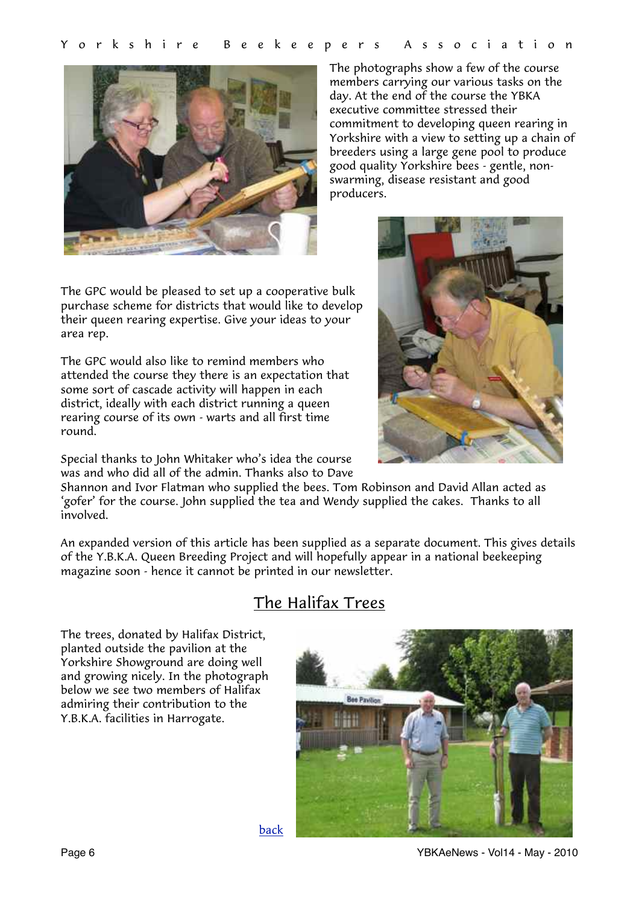

The photographs show a few of the course members carrying our various tasks on the day. At the end of the course the YBKA executive committee stressed their commitment to developing queen rearing in Yorkshire with a view to setting up a chain of breeders using a large gene pool to produce good quality Yorkshire bees - gentle, nonswarming, disease resistant and good producers.

The GPC would be pleased to set up a cooperative bulk purchase scheme for districts that would like to develop their queen rearing expertise. Give your ideas to your area rep.

The GPC would also like to remind members who attended the course they there is an expectation that some sort of cascade activity will happen in each district, ideally with each district running a queen rearing course of its own - warts and all first time round.



Special thanks to John Whitaker who's idea the course was and who did all of the admin. Thanks also to Dave

Shannon and Ivor Flatman who supplied the bees. Tom Robinson and David Allan acted as 'gofer' for the course. John supplied the tea and Wendy supplied the cakes. Thanks to all involved.

An expanded version of this article has been supplied as a separate document. This gives details of the Y.B.K.A. Queen Breeding Project and will hopefully appear in a national beekeeping magazine soon - hence it cannot be printed in our newsletter.

## <span id="page-5-0"></span>The Halifax Trees

The trees, donated by Halifax District, planted outside the pavilion at the Yorkshire Showground are doing well and growing nicely. In the photograph below we see two members of Halifax admiring their contribution to the Y.B.K.A. facilities in Harrogate.



Page 6 YBKAeNews - Vol14 - May - 2010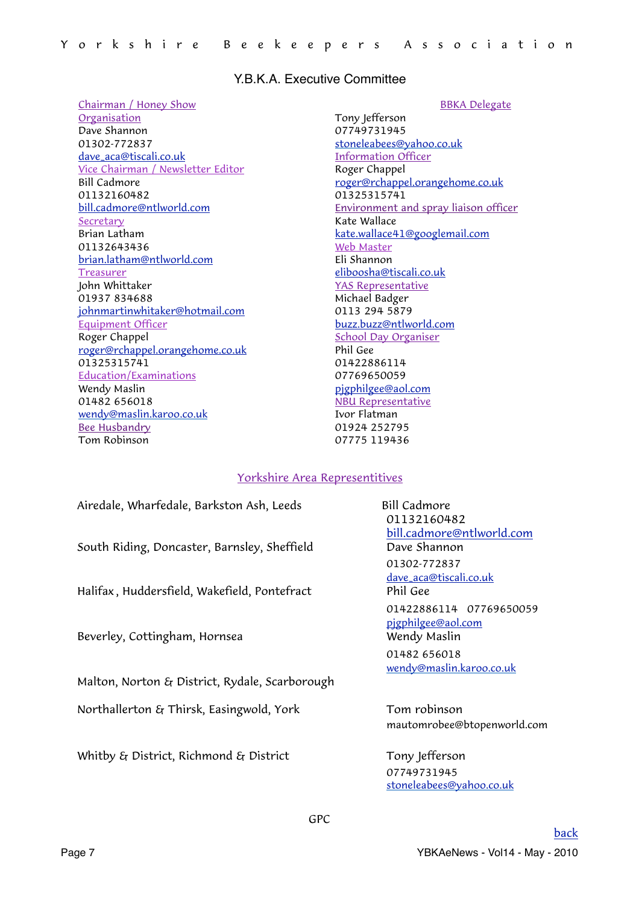#### Y.B.K.A. Executive Committee

#### Chairman / Honey Show

Organisation Dave Shannon 01302-772837 [dave\\_aca@tiscali.co.uk](mailto:dave_aca@tiscali.co.uk?subject=GPC) Vice Chairman / Newsletter Editor Bill Cadmore 01132160482 [bill.cadmore@ntlworld.com](mailto:bill.cadmore@ntlworld.com) Secretary Brian Latham 01132643436 [brian.latham@ntlworld.com](mailto:brian.latham@ntlworld.com) **Treasurer** John Whittaker 01937 834688 [johnmartinwhitaker@hotmail.com](mailto:johnmartinwhitaker@hotmail.com) Equipment Officer Roger Chappel [roger@rchappel.orangehome.co.uk](mailto:roger@rchappel.orangehome.co.uk) 01325315741 Education/Examinations Wendy Maslin 01482 656018 [wendy@maslin.karoo.co.uk](mailto:wendy@maslin.karoo.co.uk) Bee Husbandry Tom Robinson

BBKA Delegate Tony Jefferson 07749731945 [stoneleabees@yahoo.co.uk](mailto:stoneleabees@yahoo.co.uk) Information Officer Roger Chappel [roger@rchappel.orangehome.co.uk](mailto:roger@rchappel.orangehome.co.uk) 01325315741 Environment and spray liaison officer Kate Wallace [kate.wallace41@googlemail.com](mailto:kate.wallace41@googlemail.com) Web Master Eli Shannon [eliboosha@tiscali.co.uk](mailto:eliboosha@tiscali.co.uk) YAS Representative Michael Badger 0113 294 5879 [buzz.buzz@ntlworld.com](mailto:buzz.buzz@ntlworld.com) School Day Organiser Phil Gee 01422886114 07769650059 [pjgphilgee@aol.com](mailto:pjgphilgee@aol.com) NBU Representative Ivor Flatman 01924 252795 07775 119436

#### Yorkshire Area Representitives

| Airedale, Wharfedale, Barkston Ash, Leeds      | <b>Bill Cadm</b> |
|------------------------------------------------|------------------|
|                                                | 011321           |
|                                                | bill.cadn        |
| South Riding, Doncaster, Barnsley, Sheffield   | Dave Sh          |
|                                                | 01302-7          |
|                                                | dave_aca         |
| Halifax, Huddersfield, Wakefield, Pontefract   | Phil Gee         |
|                                                | 0142288          |
|                                                | pigphilge        |
| Beverley, Cottingham, Hornsea                  | Wendy N          |
|                                                | 014826           |
|                                                | wendy@r          |
| Malton, Norton & District, Rydale, Scarborough |                  |
| Northallerton & Thirsk, Easingwold, York       | Tom rol          |
|                                                |                  |

Whitby  $\mathcal{E}_I$  District, Richmond  $\mathcal{E}_I$  District Tony Jefferson

Bill Cadmore 01132160482 [bill.cadmore@ntlworld.com](mailto:bill.cadmore@ntlworld.com) Dave Shannon 01302-772837 [dave\\_aca@tiscali.co.uk](mailto:dave_aca@tiscali.co.uk?subject=GPC) 01422886114 07769650059 [pjgphilgee@aol.com](mailto:pjgphilgee@aol.com) Wendy Maslin 01482 656018 [wendy@maslin.karoo.co.uk](mailto:wendy@maslin.karoo.co.uk)

Tom robinson mautomrobee@btopenworld.com

<span id="page-6-0"></span> 07749731945 [stoneleabees@yahoo.co.uk](mailto:stoneleabees@yahoo.co.uk)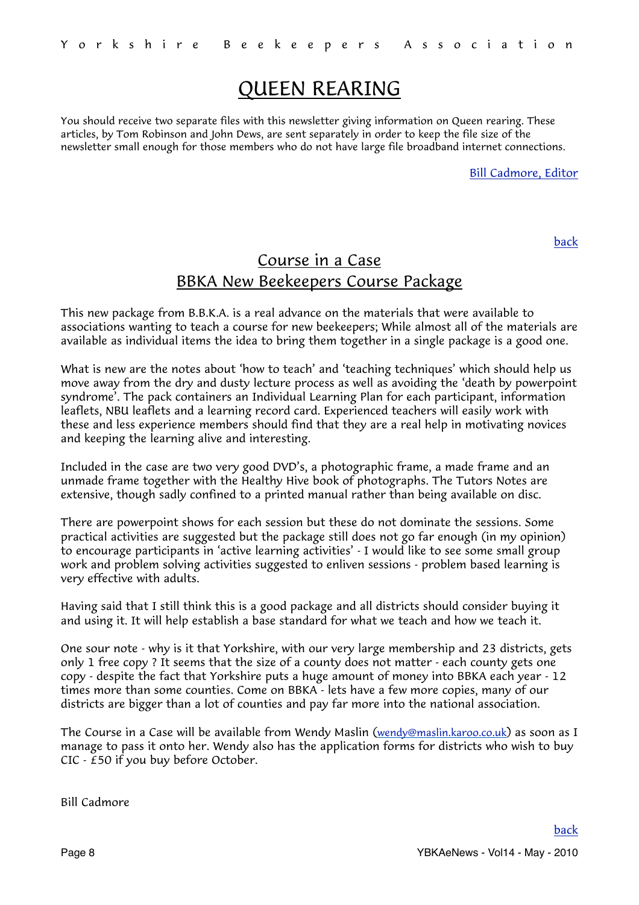## <span id="page-7-0"></span>QUEEN REARING

You should receive two separate files with this newsletter giving information on Queen rearing. These articles, by Tom Robinson and John Dews, are sent separately in order to keep the file size of the newsletter small enough for those members who do not have large file broadband internet connections.

[Bill Cadmore, Editor](mailto:ybkanews@ntlworld.com?subject=eNewsletter)

[back](#page-0-1)

## Course in a Case BBKA New Beekeepers Course Package

This new package from B.B.K.A. is a real advance on the materials that were available to associations wanting to teach a course for new beekeepers; While almost all of the materials are available as individual items the idea to bring them together in a single package is a good one.

What is new are the notes about 'how to teach' and 'teaching techniques' which should help us move away from the dry and dusty lecture process as well as avoiding the 'death by powerpoint syndrome'. The pack containers an Individual Learning Plan for each participant, information leaflets, NBU leaflets and a learning record card. Experienced teachers will easily work with these and less experience members should find that they are a real help in motivating novices and keeping the learning alive and interesting.

Included in the case are two very good DVD's, a photographic frame, a made frame and an unmade frame together with the Healthy Hive book of photographs. The Tutors Notes are extensive, though sadly confined to a printed manual rather than being available on disc.

There are powerpoint shows for each session but these do not dominate the sessions. Some practical activities are suggested but the package still does not go far enough (in my opinion) to encourage participants in 'active learning activities' - I would like to see some small group work and problem solving activities suggested to enliven sessions - problem based learning is very effective with adults.

Having said that I still think this is a good package and all districts should consider buying it and using it. It will help establish a base standard for what we teach and how we teach it.

One sour note - why is it that Yorkshire, with our very large membership and 23 districts, gets only 1 free copy ? It seems that the size of a county does not matter - each county gets one copy - despite the fact that Yorkshire puts a huge amount of money into BBKA each year - 12 times more than some counties. Come on BBKA - lets have a few more copies, many of our districts are bigger than a lot of counties and pay far more into the national association.

The Course in a Case will be available from Wendy Maslin [\(wendy@maslin.karoo.co.uk\)](mailto:wendy@maslin.karoo.co.uk) as soon as I manage to pass it onto her. Wendy also has the application forms for districts who wish to buy CIC - £50 if you buy before October.

Bill Cadmore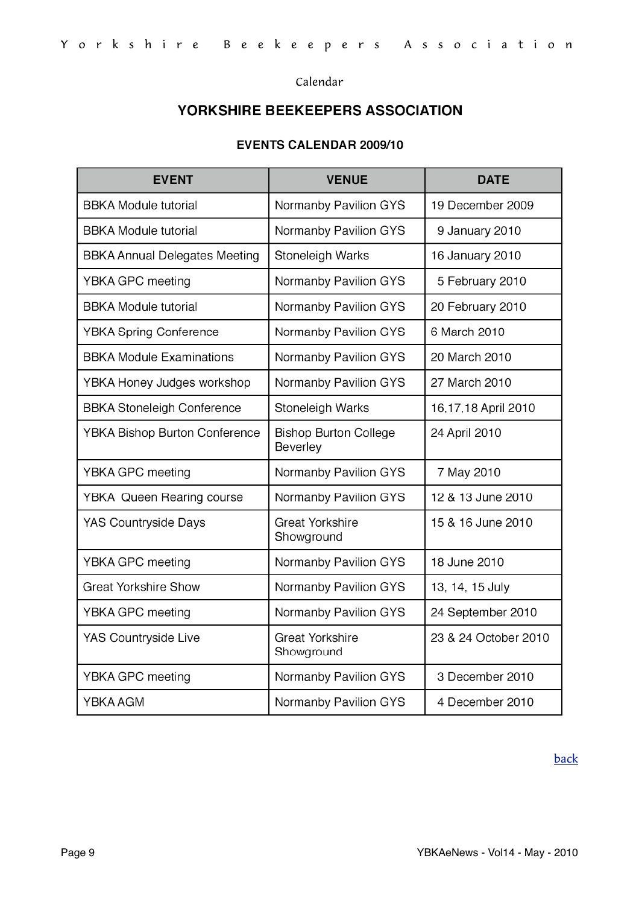<span id="page-8-0"></span>Calendar

## YORKSHIRE BEEKEEPERS ASSOCIATION

## **EVENTS CALENDAR 2009/10**

| <b>EVENT</b>                         | <b>VENUE</b>                             | <b>DATE</b>          |
|--------------------------------------|------------------------------------------|----------------------|
| <b>BBKA Module tutorial</b>          | Normanby Pavilion GYS                    | 19 December 2009     |
| <b>BBKA Module tutorial</b>          | Normanby Pavilion GYS                    | 9 January 2010       |
| <b>BBKA Annual Delegates Meeting</b> | Stoneleigh Warks                         | 16 January 2010      |
| YBKA GPC meeting                     | Normanby Pavilion GYS                    | 5 February 2010      |
| <b>BBKA Module tutorial</b>          | Normanby Pavilion GYS                    | 20 February 2010     |
| <b>YBKA Spring Conference</b>        | Normanby Pavilion GYS                    | 6 March 2010         |
| <b>BBKA Module Examinations</b>      | Normanby Pavilion GYS                    | 20 March 2010        |
| YBKA Honey Judges workshop           | Normanby Pavilion GYS                    | 27 March 2010        |
| <b>BBKA Stoneleigh Conference</b>    | Stoneleigh Warks                         | 16,17,18 April 2010  |
| <b>YBKA Bishop Burton Conference</b> | <b>Bishop Burton College</b><br>Beverley | 24 April 2010        |
| YBKA GPC meeting                     | Normanby Pavilion GYS                    | 7 May 2010           |
| <b>YBKA Queen Rearing course</b>     | Normanby Pavilion GYS                    | 12 & 13 June 2010    |
| <b>YAS Countryside Days</b>          | <b>Great Yorkshire</b><br>Showground     | 15 & 16 June 2010    |
| YBKA GPC meeting                     | Normanby Pavilion GYS                    | 18 June 2010         |
| <b>Great Yorkshire Show</b>          | Normanby Pavilion GYS                    | 13, 14, 15 July      |
| YBKA GPC meeting                     | Normanby Pavilion GYS                    | 24 September 2010    |
| YAS Countryside Live                 | <b>Great Yorkshire</b><br>Showground     | 23 & 24 October 2010 |
| YBKA GPC meeting                     | Normanby Pavilion GYS                    | 3 December 2010      |
| YBKA AGM                             | Normanby Pavilion GYS                    | 4 December 2010      |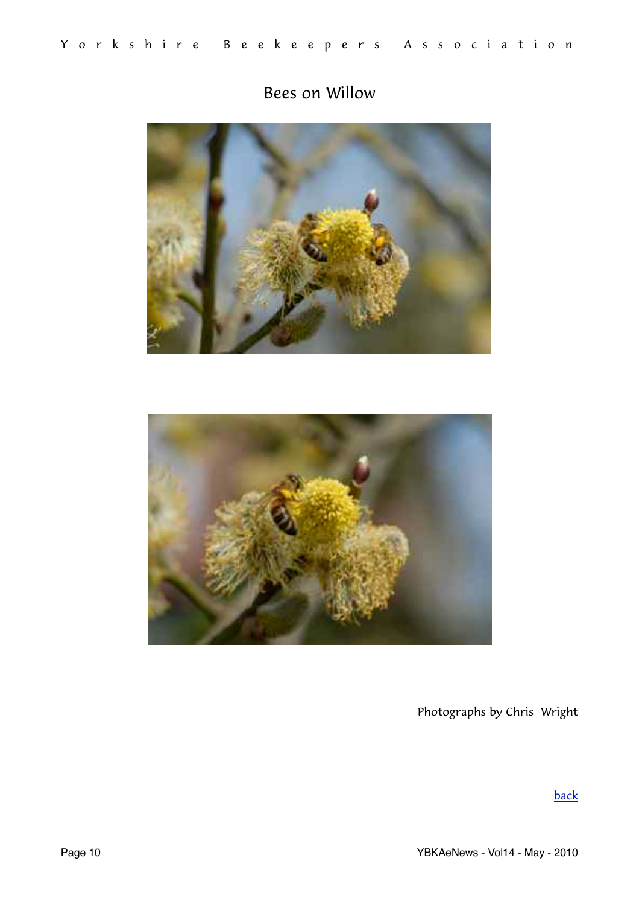## <span id="page-9-0"></span>Bees on Willow





Photographs by Chris Wright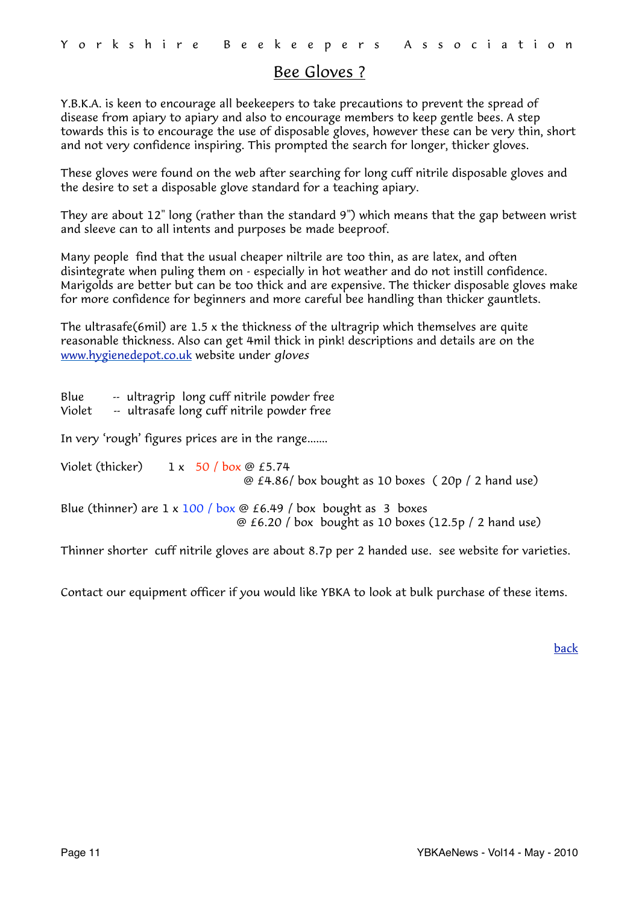### <span id="page-10-0"></span>Bee Gloves ?

Y.B.K.A. is keen to encourage all beekeepers to take precautions to prevent the spread of disease from apiary to apiary and also to encourage members to keep gentle bees. A step towards this is to encourage the use of disposable gloves, however these can be very thin, short and not very confidence inspiring. This prompted the search for longer, thicker gloves.

These gloves were found on the web after searching for long cuff nitrile disposable gloves and the desire to set a disposable glove standard for a teaching apiary.

They are about 12" long (rather than the standard 9") which means that the gap between wrist and sleeve can to all intents and purposes be made beeproof.

Many people find that the usual cheaper niltrile are too thin, as are latex, and often disintegrate when puling them on - especially in hot weather and do not instill confidence. Marigolds are better but can be too thick and are expensive. The thicker disposable gloves make for more confidence for beginners and more careful bee handling than thicker gauntlets.

The ultrasafe(6mil) are 1.5 x the thickness of the ultragrip which themselves are quite reasonable thickness. Also can get 4mil thick in pink! descriptions and details are on the [www.hygienedepot.co.uk](http://www.hygienedepot.co.uk/) website under *gloves*

Blue -- ultragrip long cuff nitrile powder free Violet -- ultrasafe long cuff nitrile powder free In very 'rough' figures prices are in the range....... Violet (thicker)  $1 \times 50$  / box  $\omega$  £5.74 @ £4.86/ box bought as 10 boxes ( 20p / 2 hand use) Blue (thinner) are  $1 \times 100$  / box  $\odot$  £6.49 / box bought as 3 boxes @ £6.20 / box bought as 10 boxes (12.5p / 2 hand use)

Thinner shorter cuff nitrile gloves are about 8.7p per 2 handed use. see website for varieties.

Contact our equipment officer if you would like YBKA to look at bulk purchase of these items.